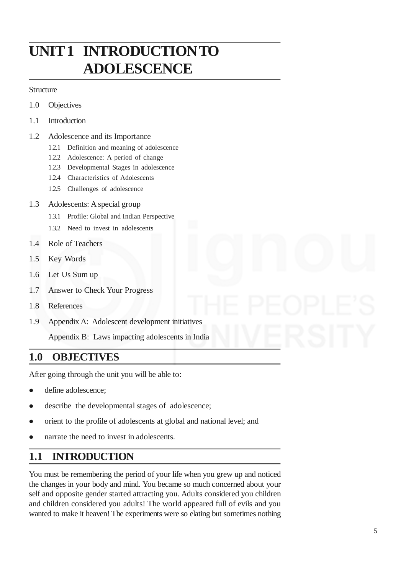# **UNIT 1 INTRODUCTION TO ADOLESCENCE**

### **Structure**

- 1.0 Objectives
- 1.1 Introduction
- 1.2 Adolescence and its Importance
	- 1.2.1 Definition and meaning of adolescence
	- 1.2.2 Adolescence: A period of change
	- 1.2.3 Developmental Stages in adolescence
	- 1.2.4 Characteristics of Adolescents
	- 1.2.5 Challenges of adolescence
- 1.3 Adolescents: A special group
	- 1.3.1 Profile: Global and Indian Perspective
	- 1.3.2 Need to invest in adolescents
- 1.4 Role of Teachers
- 1.5 Key Words
- 1.6 Let Us Sum up
- 1.7 Answer to Check Your Progress
- 1.8 References
- 1.9 Appendix A: Adolescent development initiatives

Appendix B: Laws impacting adolescents in India

# **1.0 OBJECTIVES**

After going through the unit you will be able to:

- define adolescence:
- describe the developmental stages of adolescence;
- orient to the profile of adolescents at global and national level; and
- narrate the need to invest in adolescents.

# **1.1 INTRODUCTION**

You must be remembering the period of your life when you grew up and noticed the changes in your body and mind. You became so much concerned about your self and opposite gender started attracting you. Adults considered you children and children considered you adults! The world appeared full of evils and you wanted to make it heaven! The experiments were so elating but sometimes nothing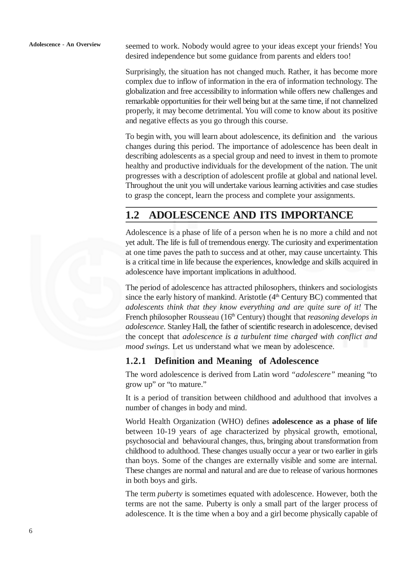seemed to work. Nobody would agree to your ideas except your friends! You desired independence but some guidance from parents and elders too!

Surprisingly, the situation has not changed much. Rather, it has become more complex due to inflow of information in the era of information technology. The globalization and free accessibility to information while offers new challenges and remarkable opportunities for their well being but at the same time, if not channelized properly, it may become detrimental. You will come to know about its positive and negative effects as you go through this course.

To begin with, you will learn about adolescence, its definition and the various changes during this period. The importance of adolescence has been dealt in describing adolescents as a special group and need to invest in them to promote healthy and productive individuals for the development of the nation. The unit progresses with a description of adolescent profile at global and national level. Throughout the unit you will undertake various learning activities and case studies to grasp the concept, learn the process and complete your assignments.

# **1.2 ADOLESCENCE AND ITS IMPORTANCE**

Adolescence is a phase of life of a person when he is no more a child and not yet adult. The life is full of tremendous energy. The curiosity and experimentation at one time paves the path to success and at other, may cause uncertainty. This is a critical time in life because the experiences, knowledge and skills acquired in adolescence have important implications in adulthood.

The period of adolescence has attracted philosophers, thinkers and sociologists since the early history of mankind. Aristotle  $(4<sup>th</sup> Century BC)$  commented that *adolescents think that they know everything and are quite sure of it!* The French philosopher Rousseau (16<sup>th</sup> Century) thought that *reasoning develops in adolescence*. Stanley Hall, the father of scientific research in adolescence, devised the concept that *adolescence is a turbulent time charged with conflict and mood swings*. Let us understand what we mean by adolescence.

### **1.2.1 Definition and Meaning of Adolescence**

The word adolescence is derived from Latin word *"adolescere"* meaning "to grow up" or "to mature."

It is a period of transition between childhood and adulthood that involves a number of changes in body and mind.

World Health Organization (WHO) defines **adolescence as a phase of life** between 10-19 years of age characterized by physical growth, emotional, psychosocial and behavioural changes, thus, bringing about transformation from childhood to adulthood. These changes usually occur a year or two earlier in girls than boys. Some of the changes are externally visible and some are internal. These changes are normal and natural and are due to release of various hormones in both boys and girls.

The term *puberty* is sometimes equated with adolescence. However, both the terms are not the same. Puberty is only a small part of the larger process of adolescence. It is the time when a boy and a girl become physically capable of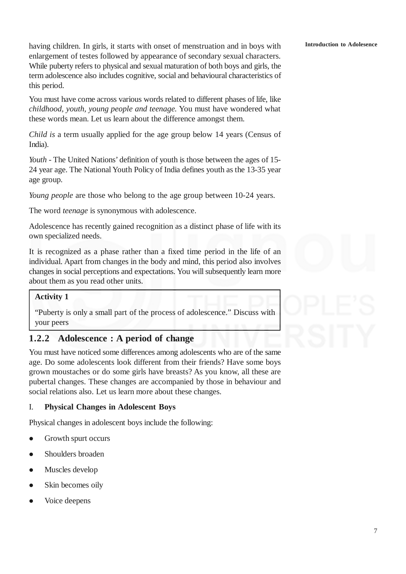### **Introduction to Adolesence**

having children. In girls, it starts with onset of menstruation and in boys with enlargement of testes followed by appearance of secondary sexual characters. While puberty refers to physical and sexual maturation of both boys and girls, the term adolescence also includes cognitive, social and behavioural characteristics of this period.

You must have come across various words related to different phases of life, like *childhood, youth, young people and teenage.* You must have wondered what these words mean. Let us learn about the difference amongst them.

*Child is* a term usually applied for the age group below 14 years (Census of India).

*Youth -* The United Nations' definition of youth is those between the ages of 15- 24 year age. The National Youth Policy of India defines youth as the 13-35 year age group.

*Young people* are those who belong to the age group between 10-24 years.

The word *teenage* is synonymous with adolescence.

Adolescence has recently gained recognition as a distinct phase of life with its own specialized needs.

It is recognized as a phase rather than a fixed time period in the life of an individual. Apart from changes in the body and mind, this period also involves changes in social perceptions and expectations. You will subsequently learn more about them as you read other units.

### **Activity 1**

"Puberty is only a small part of the process of adolescence." Discuss with your peers

### **1.2.2 Adolescence : A period of change**

You must have noticed some differences among adolescents who are of the same age. Do some adolescents look different from their friends? Have some boys grown moustaches or do some girls have breasts? As you know, all these are pubertal changes. These changes are accompanied by those in behaviour and social relations also. Let us learn more about these changes.

### I. **Physical Changes in Adolescent Boys**

Physical changes in adolescent boys include the following:

- Growth spurt occurs
- Shoulders broaden
- Muscles develop
- Skin becomes oily
- Voice deepens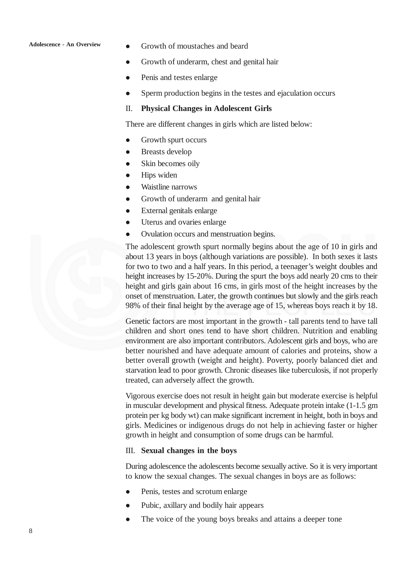### **Adolescence - An Overview**

- Growth of moustaches and beard
- Growth of underarm, chest and genital hair
- Penis and testes enlarge
- Sperm production begins in the testes and ejaculation occurs

### II. **Physical Changes in Adolescent Girls**

There are different changes in girls which are listed below:

- Growth spurt occurs
- Breasts develop
- Skin becomes oily
- Hips widen
- Waistline narrows
- Growth of underarm and genital hair
- External genitals enlarge
- Uterus and ovaries enlarge
- Ovulation occurs and menstruation begins.

The adolescent growth spurt normally begins about the age of 10 in girls and about 13 years in boys (although variations are possible). In both sexes it lasts for two to two and a half years. In this period, a teenager's weight doubles and height increases by 15-20%. During the spurt the boys add nearly 20 cms to their height and girls gain about 16 cms, in girls most of the height increases by the onset of menstruation. Later, the growth continues but slowly and the girls reach 98% of their final height by the average age of 15, whereas boys reach it by 18.

Genetic factors are most important in the growth - tall parents tend to have tall children and short ones tend to have short children. Nutrition and enabling environment are also important contributors. Adolescent girls and boys, who are better nourished and have adequate amount of calories and proteins, show a better overall growth (weight and height). Poverty, poorly balanced diet and starvation lead to poor growth. Chronic diseases like tuberculosis, if not properly treated, can adversely affect the growth.

Vigorous exercise does not result in height gain but moderate exercise is helpful in muscular development and physical fitness. Adequate protein intake (1-1.5 gm protein per kg body wt) can make significant increment in height, both in boys and girls. Medicines or indigenous drugs do not help in achieving faster or higher growth in height and consumption of some drugs can be harmful.

### III. **Sexual changes in the boys**

During adolescence the adolescents become sexually active. So it is very important to know the sexual changes. The sexual changes in boys are as follows:

- Penis, testes and scrotum enlarge
- Pubic, axillary and bodily hair appears
- The voice of the young boys breaks and attains a deeper tone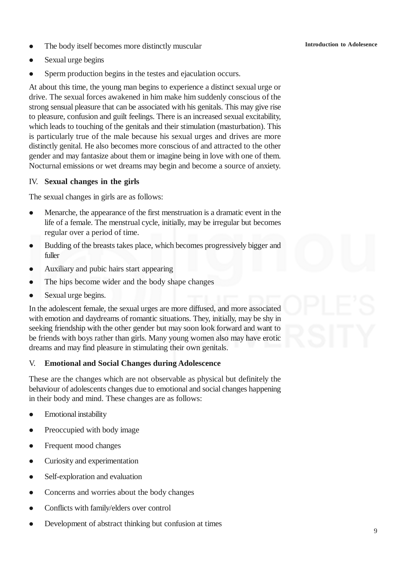- The body itself becomes more distinctly muscular
- Sexual urge begins
- Sperm production begins in the testes and ejaculation occurs.

At about this time, the young man begins to experience a distinct sexual urge or drive. The sexual forces awakened in him make him suddenly conscious of the strong sensual pleasure that can be associated with his genitals. This may give rise to pleasure, confusion and guilt feelings. There is an increased sexual excitability, which leads to touching of the genitals and their stimulation (masturbation). This is particularly true of the male because his sexual urges and drives are more distinctly genital. He also becomes more conscious of and attracted to the other gender and may fantasize about them or imagine being in love with one of them. Nocturnal emissions or wet dreams may begin and become a source of anxiety.

### IV. **Sexual changes in the girls**

The sexual changes in girls are as follows:

- Menarche, the appearance of the first menstruation is a dramatic event in the life of a female. The menstrual cycle, initially, may be irregular but becomes regular over a period of time.
- Budding of the breasts takes place, which becomes progressively bigger and fuller
- Auxiliary and pubic hairs start appearing
- The hips become wider and the body shape changes
- Sexual urge begins.

In the adolescent female, the sexual urges are more diffused, and more associated with emotion and daydreams of romantic situations. They, initially, may be shy in seeking friendship with the other gender but may soon look forward and want to be friends with boys rather than girls. Many young women also may have erotic dreams and may find pleasure in stimulating their own genitals.

### V. **Emotional and Social Changes during Adolescence**

These are the changes which are not observable as physical but definitely the behaviour of adolescents changes due to emotional and social changes happening in their body and mind. These changes are as follows:

- Emotional instability
- Preoccupied with body image
- Frequent mood changes
- Curiosity and experimentation
- Self-exploration and evaluation
- Concerns and worries about the body changes
- Conflicts with family/elders over control
- Development of abstract thinking but confusion at times

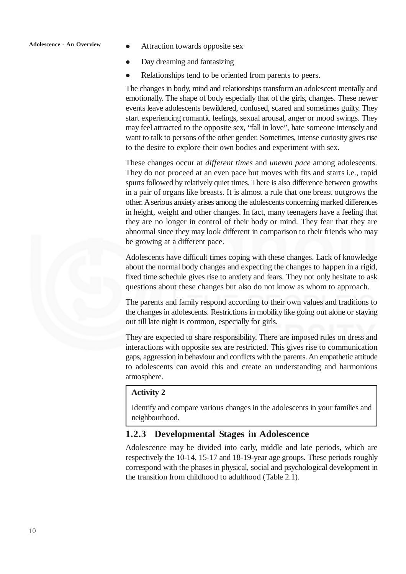- Attraction towards opposite sex
- Day dreaming and fantasizing
- Relationships tend to be oriented from parents to peers.

The changes in body, mind and relationships transform an adolescent mentally and emotionally. The shape of body especially that of the girls, changes. These newer events leave adolescents bewildered, confused, scared and sometimes guilty. They start experiencing romantic feelings, sexual arousal, anger or mood swings. They may feel attracted to the opposite sex, "fall in love", hate someone intensely and want to talk to persons of the other gender. Sometimes, intense curiosity gives rise to the desire to explore their own bodies and experiment with sex.

These changes occur at *different times* and *uneven pace* among adolescents. They do not proceed at an even pace but moves with fits and starts i.e., rapid spurts followed by relatively quiet times. There is also difference between growths in a pair of organs like breasts. It is almost a rule that one breast outgrows the other. A serious anxiety arises among the adolescents concerning marked differences in height, weight and other changes. In fact, many teenagers have a feeling that they are no longer in control of their body or mind. They fear that they are abnormal since they may look different in comparison to their friends who may be growing at a different pace.

Adolescents have difficult times coping with these changes. Lack of knowledge about the normal body changes and expecting the changes to happen in a rigid, fixed time schedule gives rise to anxiety and fears. They not only hesitate to ask questions about these changes but also do not know as whom to approach.

The parents and family respond according to their own values and traditions to the changes in adolescents. Restrictions in mobility like going out alone or staying out till late night is common, especially for girls.

They are expected to share responsibility. There are imposed rules on dress and interactions with opposite sex are restricted. This gives rise to communication gaps, aggression in behaviour and conflicts with the parents. An empathetic attitude to adolescents can avoid this and create an understanding and harmonious atmosphere.

### **Activity 2**

Identify and compare various changes in the adolescents in your families and neighbourhood.

### **1.2.3 Developmental Stages in Adolescence**

Adolescence may be divided into early, middle and late periods, which are respectively the 10-14, 15-17 and 18-19-year age groups. These periods roughly correspond with the phases in physical, social and psychological development in the transition from childhood to adulthood (Table 2.1).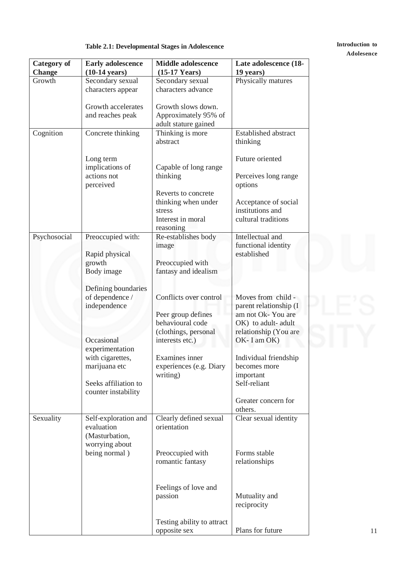# **Adolesence**

# **Table 2.1: Developmental Stages in Adolescence Introduction to**

| <b>Category of</b> | <b>Early adolescence</b> | <b>Middle adolescence</b>  | Late adolescence (18-       |
|--------------------|--------------------------|----------------------------|-----------------------------|
| <b>Change</b>      | $(10-14 \text{ years})$  | $(15-17$ Years)            | 19 years)                   |
| Growth             | Secondary sexual         | Secondary sexual           | Physically matures          |
|                    | characters appear        | characters advance         |                             |
|                    | Growth accelerates       | Growth slows down.         |                             |
|                    | and reaches peak         | Approximately 95% of       |                             |
|                    |                          | adult stature gained       |                             |
| Cognition          | Concrete thinking        | Thinking is more           | <b>Established abstract</b> |
|                    |                          | abstract                   | thinking                    |
|                    | Long term                |                            | Future oriented             |
|                    | implications of          | Capable of long range      |                             |
|                    | actions not              | thinking                   | Perceives long range        |
|                    | perceived                |                            | options                     |
|                    |                          | Reverts to concrete        |                             |
|                    |                          | thinking when under        | Acceptance of social        |
|                    |                          | stress                     | institutions and            |
|                    |                          | Interest in moral          | cultural traditions         |
|                    |                          | reasoning                  |                             |
| Psychosocial       | Preoccupied with:        | Re-establishes body        | Intellectual and            |
|                    |                          | image                      | functional identity         |
|                    | Rapid physical           |                            | established                 |
|                    | growth                   | Preoccupied with           |                             |
|                    | Body image               | fantasy and idealism       |                             |
|                    |                          |                            |                             |
|                    | Defining boundaries      |                            |                             |
|                    | of dependence /          | Conflicts over control     | Moves from child -          |
|                    | independence             |                            | parent relationship (I      |
|                    |                          | Peer group defines         | am not Ok-You are           |
|                    |                          | behavioural code           | OK) to adult-adult          |
|                    |                          | (clothings, personal       | relationship (You are       |
|                    | Occasional               | interests etc.)            | OK-I am OK)                 |
|                    | experimentation          |                            |                             |
|                    | with cigarettes,         | Examines inner             | Individual friendship       |
|                    | marijuana etc            | experiences (e.g. Diary    | becomes more                |
|                    |                          | writing)                   | important                   |
|                    | Seeks affiliation to     |                            | Self-reliant                |
|                    | counter instability      |                            |                             |
|                    |                          |                            | Greater concern for         |
|                    |                          |                            | others.                     |
| Sexuality          | Self-exploration and     | Clearly defined sexual     | Clear sexual identity       |
|                    | evaluation               | orientation                |                             |
|                    | (Masturbation,           |                            |                             |
|                    | worrying about           |                            |                             |
|                    | being normal)            | Preoccupied with           | Forms stable                |
|                    |                          |                            |                             |
|                    |                          | romantic fantasy           | relationships               |
|                    |                          |                            |                             |
|                    |                          |                            |                             |
|                    |                          | Feelings of love and       |                             |
|                    |                          | passion                    | Mutuality and               |
|                    |                          |                            | reciprocity                 |
|                    |                          |                            |                             |
|                    |                          | Testing ability to attract |                             |
|                    |                          | opposite sex               | Plans for future            |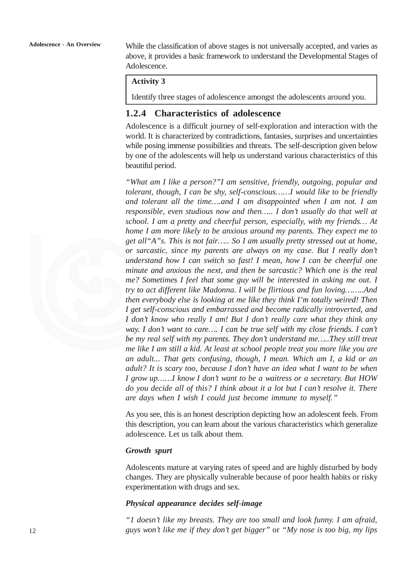While the classification of above stages is not universally accepted, and varies as above, it provides a basic framework to understand the Developmental Stages of Adolescence.

### **Activity 3**

Identify three stages of adolescence amongst the adolescents around you.

### **1.2.4 Characteristics of adolescence**

Adolescence is a difficult journey of self-exploration and interaction with the world. It is characterized by contradictions, fantasies, surprises and uncertainties while posing immense possibilities and threats. The self-description given below by one of the adolescents will help us understand various characteristics of this beautiful period.

*"What am I like a person?"I am sensitive, friendly, outgoing, popular and tolerant, though, I can be shy, self-conscious……I would like to be friendly and tolerant all the time….and I am disappointed when I am not. I am responsible, even studious now and then….. I don't usually do that well at school. I am a pretty and cheerful person, especially, with my friends… At home I am more likely to be anxious around my parents. They expect me to get all"A"s. This is not fair….. So I am usually pretty stressed out at home, or sarcastic, since my parents are always on my case. But I really don't understand how I can switch so fast! I mean, how I can be cheerful one minute and anxious the next, and then be sarcastic? Which one is the real me? Sometimes I feel that some guy will be interested in asking me out. I try to act different like Madonna. I will be flirtious and fun loving……..And then everybody else is looking at me like they think I'm totally weired! Then I get self-conscious and embarrassed and become radically introverted, and I don't know who really I am! But I don't really care what they think any way. I don't want to care…. I can be true self with my close friends. I can't be my real self with my parents. They don't understand me…..They still treat me like I am still a kid. At least at school people treat you more like you are an adult... That gets confusing, though, I mean. Which am I, a kid or an adult? It is scary too, because I don't have an idea what I want to be when I grow up……I know I don't want to be a waitress or a secretary. But HOW do you decide all of this? I think about it a lot but I can't resolve it. There are days when I wish I could just become immune to myself."*

As you see, this is an honest description depicting how an adolescent feels. From this description, you can learn about the various characteristics which generalize adolescence. Let us talk about them.

### *Growth spurt*

Adolescents mature at varying rates of speed and are highly disturbed by body changes. They are physically vulnerable because of poor health habits or risky experimentation with drugs and sex.

### *Physical appearance decides self-image*

*"1 doesn't like my breasts. They are too small and look funny. I am afraid, guys won't like me if they don't get bigger"* or *"My nose is too big, my lips*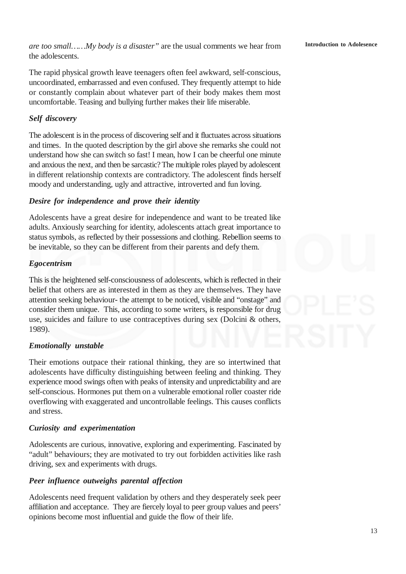*are too small……My body is a disaster"* are the usual comments we hear from the adolescents.

The rapid physical growth leave teenagers often feel awkward, self-conscious, uncoordinated, embarrassed and even confused. They frequently attempt to hide or constantly complain about whatever part of their body makes them most uncomfortable. Teasing and bullying further makes their life miserable.

### *Self discovery*

The adolescent is in the process of discovering self and it fluctuates across situations and times.In the quoted description by the girl above she remarks she could not understand how she can switch so fast! I mean, how I can be cheerful one minute and anxious the next, and then be sarcastic?The multiple roles played by adolescent in different relationship contexts are contradictory. The adolescent finds herself moody and understanding, ugly and attractive, introverted and fun loving.

### *Desire for independence and prove their identity*

Adolescents have a great desire for independence and want to be treated like adults. Anxiously searching for identity, adolescents attach great importance to status symbols, as reflected by their possessions and clothing. Rebellion seems to be inevitable, so they can be different from their parents and defy them.

### *Egocentrism*

This is the heightened self-consciousness of adolescents, which is reflected in their belief that others are as interested in them as they are themselves. They have attention seeking behaviour- the attempt to be noticed, visible and "onstage" and consider them unique. This, according to some writers, is responsible for drug use, suicides and failure to use contraceptives during sex (Dolcini & others, 1989).

### *Emotionally unstable*

Their emotions outpace their rational thinking, they are so intertwined that adolescents have difficulty distinguishing between feeling and thinking. They experience mood swings often with peaks of intensity and unpredictability and are self-conscious. Hormones put them on a vulnerable emotional roller coaster ride overflowing with exaggerated and uncontrollable feelings. This causes conflicts and stress.

### *Curiosity and experimentation*

Adolescents are curious, innovative, exploring and experimenting. Fascinated by "adult" behaviours; they are motivated to try out forbidden activities like rash driving, sex and experiments with drugs.

### *Peer influence outweighs parental affection*

Adolescents need frequent validation by others and they desperately seek peer affiliation and acceptance. They are fiercely loyal to peer group values and peers' opinions become most influential and guide the flow of their life.

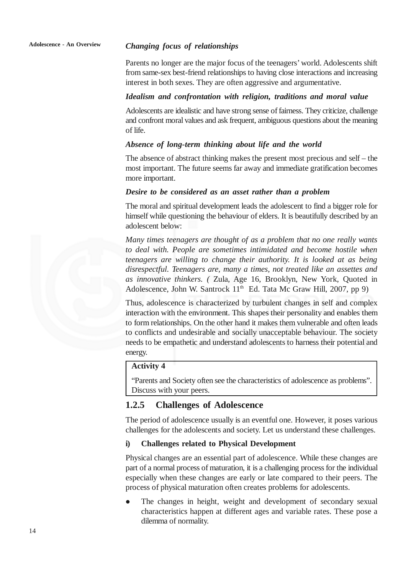### *Changing focus of relationships*

Parents no longer are the major focus of the teenagers' world. Adolescents shift from same-sex best-friend relationships to having close interactions and increasing interest in both sexes. They are often aggressive and argumentative.

### *Idealism and confrontation with religion, traditions and moral value*

Adolescents are idealistic and have strong sense of fairness. They criticize, challenge and confront moral values and ask frequent, ambiguous questions about the meaning of life.

### *Absence of long-term thinking about life and the world*

The absence of abstract thinking makes the present most precious and self – the most important. The future seems far away and immediate gratification becomes more important.

### *Desire to be considered as an asset rather than a problem*

The moral and spiritual development leads the adolescent to find a bigger role for himself while questioning the behaviour of elders. It is beautifully described by an adolescent below:

*Many times teenagers are thought of as a problem that no one really wants to deal with. People are sometimes intimidated and become hostile when teenagers are willing to change their authority. It is looked at as being disrespectful. Teenagers are, many a times, not treated like an assettes and as innovative thinkers. (* Zula, Age 16, Brooklyn, New York, Quoted in Adolescence, John W. Santrock 11<sup>th</sup> Ed. Tata Mc Graw Hill, 2007, pp 9)

Thus, adolescence is characterized by turbulent changes in self and complex interaction with the environment. This shapes their personality and enables them to form relationships. On the other hand it makes them vulnerable and often leads to conflicts and undesirable and socially unacceptable behaviour. The society needs to be empathetic and understand adolescents to harness their potential and energy.

### **Activity 4**

"Parents and Society often see the characteristics of adolescence as problems". Discuss with your peers.

### **1.2.5 Challenges of Adolescence**

The period of adolescence usually is an eventful one. However, it poses various challenges for the adolescents and society. Let us understand these challenges.

### **i) Challenges related to Physical Development**

Physical changes are an essential part of adolescence. While these changes are part of a normal process of maturation, it is a challenging process for the individual especially when these changes are early or late compared to their peers. The process of physical maturation often creates problems for adolescents.

 The changes in height, weight and development of secondary sexual characteristics happen at different ages and variable rates. These pose a dilemma of normality.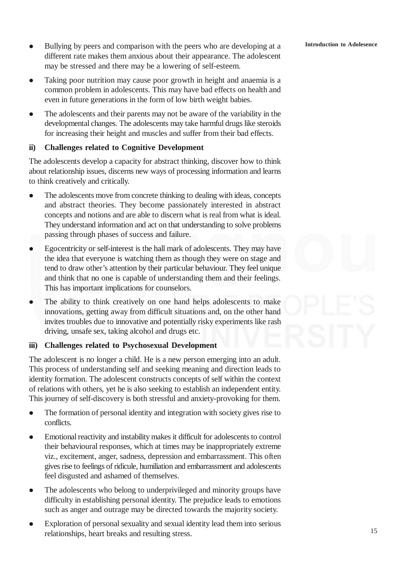- Bullying by peers and comparison with the peers who are developing at a different rate makes them anxious about their appearance. The adolescent may be stressed and there may be a lowering of self-esteem.
- Taking poor nutrition may cause poor growth in height and anaemia is a common problem in adolescents. This may have bad effects on health and even in future generations in the form of low birth weight babies.
- The adolescents and their parents may not be aware of the variability in the developmental changes. The adolescents may take harmful drugs like steroids for increasing their height and muscles and suffer from their bad effects.

### **ii) Challenges related to Cognitive Development**

The adolescents develop a capacity for abstract thinking, discover how to think about relationship issues, discerns new ways of processing information and learns to think creatively and critically.

- The adolescents move from concrete thinking to dealing with ideas, concepts and abstract theories. They become passionately interested in abstract concepts and notions and are able to discern what is real from what is ideal. They understand information and act on that understanding to solve problems passing through phases of success and failure.
- Egocentricity or self-interest is the hall mark of adolescents. They may have the idea that everyone is watching them as though they were on stage and tend to draw other's attention by their particular behaviour. They feel unique and think that no one is capable of understanding them and their feelings. This has important implications for counselors.
- The ability to think creatively on one hand helps adolescents to make innovations, getting away from difficult situations and, on the other hand invites troubles due to innovative and potentially risky experiments like rash driving, unsafe sex, taking alcohol and drugs etc.

### **iii) Challenges related to Psychosexual Development**

The adolescent is no longer a child. He is a new person emerging into an adult. This process of understanding self and seeking meaning and direction leads to identity formation. The adolescent constructs concepts of self within the context of relations with others, yet he is also seeking to establish an independent entity. This journey of self-discovery is both stressful and anxiety-provoking for them.

- The formation of personal identity and integration with society gives rise to conflicts.
- Emotional reactivity and instability makes it difficult for adolescents to control their behavioural responses, which at times may be inappropriately extreme viz., excitement, anger, sadness, depression and embarrassment. This often gives rise to feelings of ridicule, humiliation and embarrassment and adolescents feel disgusted and ashamed of themselves.
- The adolescents who belong to underprivileged and minority groups have difficulty in establishing personal identity. The prejudice leads to emotions such as anger and outrage may be directed towards the majority society.
- Exploration of personal sexuality and sexual identity lead them into serious relationships, heart breaks and resulting stress.

### **Introduction to Adolesence**

15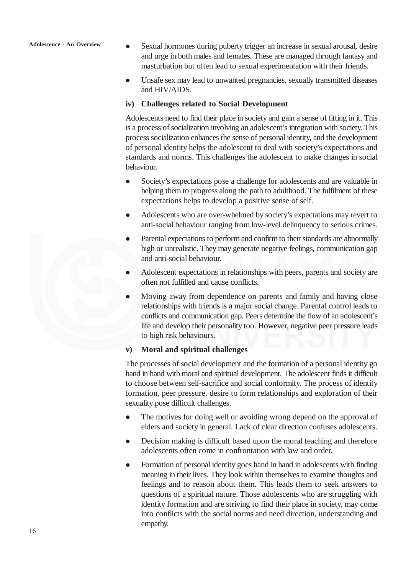Sexual hormones during puberty trigger an increase in sexual arousal, desire and urge in both males and females. These are managed through fantasy and masturbation but often lead to sexual experimentation with their friends.

 Unsafe sex may lead to unwanted pregnancies, sexually transmitted diseases and HIV/AIDS.

### **iv) Challenges related to Social Development**

Adolescents need to find their place in society and gain a sense of fitting in it. This is a process of socialization involving an adolescent's integration with society. This process socialization enhances the sense of personal identity, and the development of personal identity helps the adolescent to deal with society's expectations and standards and norms. This challenges the adolescent to make changes in social behaviour.

- Society's expectations pose a challenge for adolescents and are valuable in helping them to progress along the path to adulthood. The fulfilment of these expectations helps to develop a positive sense of self.
- Adolescents who are over-whelmed by society's expectations may revert to anti-social behaviour ranging from low-level delinquency to serious crimes.
- Parental expectations to perform and confirm to their standards are abnormally high or unrealistic. They may generate negative feelings, communication gap and anti-social behaviour.
- Adolescent expectations in relationships with peers, parents and society are often not fulfilled and cause conflicts.
- Moving away from dependence on parents and family and having close relationships with friends is a major social change. Parental control leads to conflicts and communication gap. Peers determine the flow of an adolescent's life and develop their personality too. However, negative peer pressure leads to high risk behaviours.

### **v) Moral and spiritual challenges**

The processes of social development and the formation of a personal identity go hand in hand with moral and spiritual development. The adolescent finds it difficult to choose between self-sacrifice and social conformity. The process of identity formation, peer pressure, desire to form relationships and exploration of their sexuality pose difficult challenges.

- The motives for doing well or avoiding wrong depend on the approval of elders and society in general. Lack of clear direction confuses adolescents.
- Decision making is difficult based upon the moral teaching and therefore adolescents often come in confrontation with law and order.
- Formation of personal identity goes hand in hand in adolescents with finding meaning in their lives. They look within themselves to examine thoughts and feelings and to reason about them. This leads them to seek answers to questions of a spiritual nature. Those adolescents who are struggling with identity formation and are striving to find their place in society, may come into conflicts with the social norms and need direction, understanding and empathy.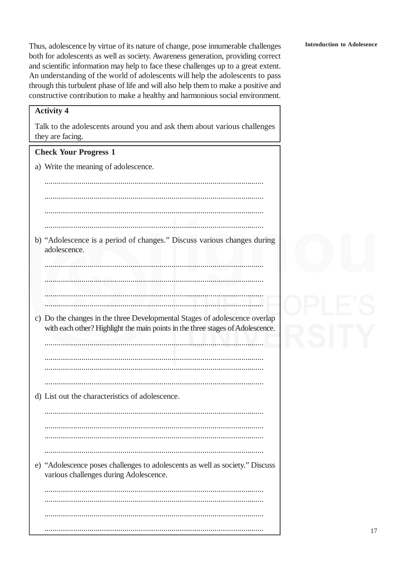Thus, adolescence by virtue of its nature of change, pose innumerable challenges both for adolescents as well as society. Awareness generation, providing correct and scientific information may help to face these challenges up to a great extent. An understanding of the world of adolescents will help the adolescents to pass through this turbulent phase of life and will also help them to make a positive and constructive contribution to make a healthy and harmonious social environment.

### **Activity 4**

Talk to the adolescents around you and ask them about various challenges they are facing.

### **Check Your Progress 1**

a) Write the meaning of adolescence.

b) "Adolescence is a period of changes." Discuss various changes during adolescence.

c) Do the changes in the three Developmental Stages of adolescence overlap with each other? Highlight the main points in the three stages of Adolescence.

the contract of the contract of the contract of the contract of the contract of the contract of the contract of 

d) List out the characteristics of adolescence.

e) "Adolescence poses challenges to adolescents as well as society." Discuss various challenges during Adolescence.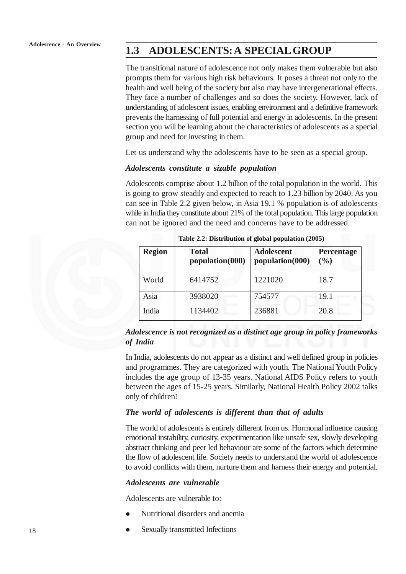# **1.3 ADOLESCENTS: A SPECIAL GROUP**

The transitional nature of adolescence not only makes them vulnerable but also prompts them for various high risk behaviours. It poses a threat not only to the health and well being of the society but also may have intergenerational effects. They face a number of challenges and so does the society. However, lack of understanding of adolescent issues, enabling environment and a definitive framework prevents the harnessing of full potential and energy in adolescents. In the present section you will be learning about the characteristics of adolescents as a special group and need for investing in them.

Let us understand why the adolescents have to be seen as a special group.

### *Adolescents constitute a sizable population*

Adolescents comprise about 1.2 billion of the total population in the world. This is going to grow steadily and expected to reach to 1.23 billion by 2040. As you can see in Table 2.2 given below, in Asia 19.1 % population is of adolescents while in India they constitute about 21% of the total population. This large population can not be ignored and the need and concerns have to be addressed.

| <b>Region</b> | <b>Total</b><br>population(000) | <b>Adolescent</b><br>population(000) | <b>Percentage</b><br>(9/0) |
|---------------|---------------------------------|--------------------------------------|----------------------------|
| World         | 6414752                         | 1221020                              | 18.7                       |
| Asia          | 3938020                         | 754577                               | 19.1                       |
| India         | 1134402                         | 236881                               | 20.8                       |

**Table 2.2: Distribution of global population (2005)**

### *Adolescence is not recognized as a distinct age group in policy frameworks of India*

In India, adolescents do not appear as a distinct and well defined group in policies and programmes. They are categorized with youth. The National Youth Policy includes the age group of 13-35 years. National AIDS Policy refers to youth between the ages of 15-25 years. Similarly, National Health Policy 2002 talks only of children!

### *The world of adolescents is different than that of adults*

The world of adolescents is entirely different from us. Hormonal influence causing emotional instability, curiosity, experimentation like unsafe sex, slowly developing abstract thinking and peer led behaviour are some of the factors which determine the flow of adolescent life. Society needs to understand the world of adolescence to avoid conflicts with them, nurture them and harness their energy and potential.

### *Adolescents are vulnerable*

Adolescents are vulnerable to:

- Nutritional disorders and anemia
- Sexually transmitted Infections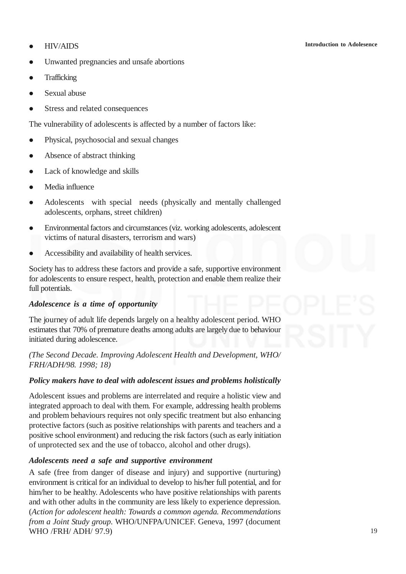### **•** HIV/AIDS

- Unwanted pregnancies and unsafe abortions
- Trafficking
- Sexual abuse
- Stress and related consequences

The vulnerability of adolescents is affected by a number of factors like:

- Physical, psychosocial and sexual changes
- Absence of abstract thinking
- Lack of knowledge and skills
- Media influence
- Adolescents with special needs (physically and mentally challenged adolescents, orphans, street children)
- Environmental factors and circumstances (viz. working adolescents, adolescent victims of natural disasters, terrorism and wars)
- Accessibility and availability of health services.

Society has to address these factors and provide a safe, supportive environment for adolescents to ensure respect, health, protection and enable them realize their full potentials.

### *Adolescence is a time of opportunity*

The journey of adult life depends largely on a healthy adolescent period. WHO estimates that 70% of premature deaths among adults are largely due to behaviour initiated during adolescence.

*(The Second Decade. Improving Adolescent Health and Development, WHO/ FRH/ADH/98. 1998; 18)*

### *Policy makers have to deal with adolescent issues and problems holistically*

Adolescent issues and problems are interrelated and require a holistic view and integrated approach to deal with them. For example, addressing health problems and problem behaviours requires not only specific treatment but also enhancing protective factors (such as positive relationships with parents and teachers and a positive school environment) and reducing the risk factors (such as early initiation of unprotected sex and the use of tobacco, alcohol and other drugs).

### *Adolescents need a safe and supportive environment*

A safe (free from danger of disease and injury) and supportive (nurturing) environment is critical for an individual to develop to his/her full potential, and for him/her to be healthy. Adolescents who have positive relationships with parents and with other adults in the community are less likely to experience depression. (*Action for adolescent health: Towards a common agenda. Recommendations from a Joint Study group.* WHO/UNFPA/UNICEF. Geneva, 1997 (document WHO /FRH/ ADH/ 97.9)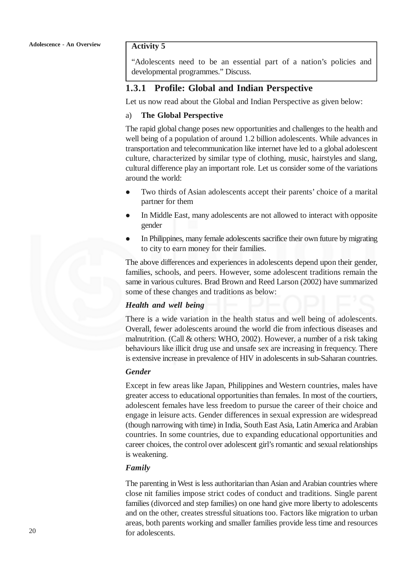### **Activity 5**

"Adolescents need to be an essential part of a nation's policies and developmental programmes." Discuss.

### **1.3.1 Profile: Global and Indian Perspective**

Let us now read about the Global and Indian Perspective as given below:

### a) **The Global Perspective**

The rapid global change poses new opportunities and challenges to the health and well being of a population of around 1.2 billion adolescents. While advances in transportation and telecommunication like internet have led to a global adolescent culture, characterized by similar type of clothing, music, hairstyles and slang, cultural difference play an important role. Let us consider some of the variations around the world:

- Two thirds of Asian adolescents accept their parents' choice of a marital partner for them
- In Middle East, many adolescents are not allowed to interact with opposite gender
- In Philippines, many female adolescents sacrifice their own future by migrating to city to earn money for their families.

The above differences and experiences in adolescents depend upon their gender, families, schools, and peers. However, some adolescent traditions remain the same in various cultures. Brad Brown and Reed Larson (2002) have summarized some of these changes and traditions as below:

### *Health and well being*

There is a wide variation in the health status and well being of adolescents. Overall, fewer adolescents around the world die from infectious diseases and malnutrition. (Call & others: WHO, 2002). However, a number of a risk taking behaviours like illicit drug use and unsafe sex are increasing in frequency. There is extensive increase in prevalence of HIV in adolescents in sub-Saharan countries.

### *Gender*

Except in few areas like Japan, Philippines and Western countries, males have greater access to educational opportunities than females. In most of the courtiers, adolescent females have less freedom to pursue the career of their choice and engage in leisure acts. Gender differences in sexual expression are widespread (though narrowing with time) in India, South East Asia, Latin America and Arabian countries. In some countries, due to expanding educational opportunities and career choices, the control over adolescent girl's romantic and sexual relationships is weakening.

### *Family*

The parenting in West is less authoritarian than Asian and Arabian countries where close nit families impose strict codes of conduct and traditions. Single parent families (divorced and step families) on one hand give more liberty to adolescents and on the other, creates stressful situations too. Factors like migration to urban areas, both parents working and smaller families provide less time and resources for adolescents.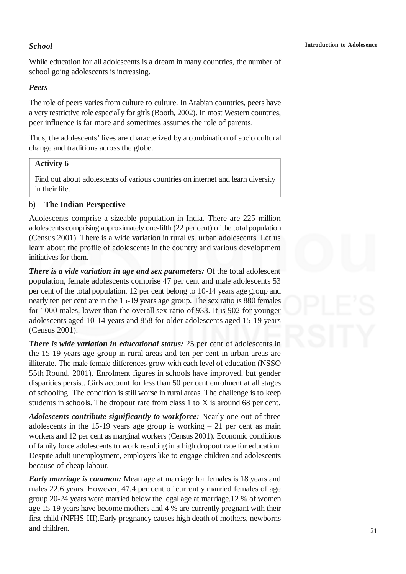### *School*

While education for all adolescents is a dream in many countries, the number of school going adolescents is increasing.

### *Peers*

The role of peers varies from culture to culture. In Arabian countries, peers have a very restrictive role especially for girls (Booth, 2002). In most Western countries, peer influence is far more and sometimes assumes the role of parents.

Thus, the adolescents' lives are characterized by a combination of socio cultural change and traditions across the globe.

### **Activity 6**

Find out about adolescents of various countries on internet and learn diversity in their life.

### b) **The Indian Perspective**

Adolescents comprise a sizeable population in India*.* There are 225 million adolescents comprising approximately one-fifth (22 per cent) of the total population (Census 2001). There is a wide variation in rural *vs.* urban adolescents. Let us learn about the profile of adolescents in the country and various development initiatives for them.

*There is a vide variation in age and sex parameters:* Of the total adolescent population, female adolescents comprise 47 per cent and male adolescents 53 per cent of the total population. 12 per cent belong to 10-14 years age group and nearly ten per cent are in the 15-19 years age group. The sex ratio is 880 females for 1000 males, lower than the overall sex ratio of 933. It is 902 for younger adolescents aged 10-14 years and 858 for older adolescents aged 15-19 years (Census 2001).

*There is wide variation in educational status:* 25 per cent of adolescents in the 15-19 years age group in rural areas and ten per cent in urban areas are illiterate. The male female differences grow with each level of education (NSSO 55th Round, 2001). Enrolment figures in schools have improved, but gender disparities persist. Girls account for less than 50 per cent enrolment at all stages of schooling. The condition is still worse in rural areas. The challenge is to keep students in schools. The dropout rate from class 1 to X is around 68 per cent.

*Adolescents contribute significantly to workforce:* Nearly one out of three adolescents in the 15-19 years age group is working  $-21$  per cent as main workers and 12 per cent as marginal workers (Census 2001). Economic conditions of family force adolescents to work resulting in a high dropout rate for education. Despite adult unemployment, employers like to engage children and adolescents because of cheap labour.

*Early marriage is common:* Mean age at marriage for females is 18 years and males 22.6 years. However, 47.4 per cent of currently married females of age group 20-24 years were married below the legal age at marriage.12 % of women age 15-19 years have become mothers and 4 % are currently pregnant with their first child (NFHS-III).Early pregnancy causes high death of mothers, newborns and children.

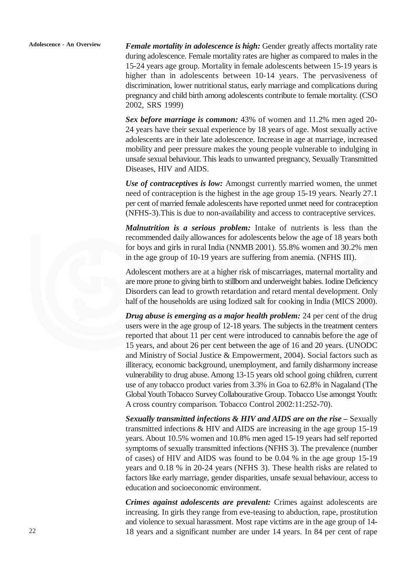*Female mortality in adolescence is high:* Gender greatly affects mortality rate during adolescence. Female mortality rates are higher as compared to males in the 15-24 years age group. Mortality in female adolescents between 15-19 years is higher than in adolescents between 10-14 years. The pervasiveness of discrimination, lower nutritional status, early marriage and complications during pregnancy and child birth among adolescents contribute to female mortality. (CSO 2002, SRS 1999)

*Sex before marriage is common:* 43% of women and 11.2% men aged 20- 24 years have their sexual experience by 18 years of age. Most sexually active adolescents are in their late adolescence. Increase in age at marriage, increased mobility and peer pressure makes the young people vulnerable to indulging in unsafe sexual behaviour. This leads to unwanted pregnancy, Sexually Transmitted Diseases, HIV and AIDS.

*Use of contraceptives is low:* Amongst currently married women, the unmet need of contraception is the highest in the age group 15-19 years. Nearly 27.1 per cent of married female adolescents have reported unmet need for contraception (NFHS-3).This is due to non-availability and access to contraceptive services.

*Malnutrition is a serious problem:* Intake of nutrients is less than the recommended daily allowances for adolescents below the age of 18 years both for boys and girls in rural India (NNMB 2001). 55.8% women and 30.2% men in the age group of 10-19 years are suffering from anemia. (NFHS III).

Adolescent mothers are at a higher risk of miscarriages, maternal mortality and are more prone to giving birth to stillborn and underweight babies. Iodine Deficiency Disorders can lead to growth retardation and retard mental development. Only half of the households are using Iodized salt for cooking in India (MICS 2000).

*Drug abuse is emerging as a major health problem:* 24 per cent of the drug users were in the age group of 12-18 years. The subjects in the treatment centers reported that about 11 per cent were introduced to cannabis before the age of 15 years, and about 26 per cent between the age of 16 and 20 years. (UNODC and Ministry of Social Justice & Empowerment, 2004). Social factors such as illiteracy, economic background, unemployment, and family disharmony increase vulnerability to drug abuse. Among 13-15 years old school going children, current use of any tobacco product varies from 3.3% in Goa to 62.8% in Nagaland (The Global Youth Tobacco Survey Collabourative Group. Tobacco Use amongst Youth: A cross country comparison. Tobacco Control 2002:11:252-70).

*Sexually transmitted infections & HIV and AIDS are on the rise – Sexually* transmitted infections & HIV and AIDS are increasing in the age group 15-19 years. About 10.5% women and 10.8% men aged 15-19 years had self reported symptoms of sexually transmitted infections (NFHS 3). The prevalence (number of cases) of HIV and AIDS was found to be 0.04 % in the age group 15-19 years and 0.18 % in 20-24 years (NFHS 3). These health risks are related to factors like early marriage, gender disparities, unsafe sexual behaviour, access to education and socioeconomic environment.

*Crimes against adolescents are prevalent:* Crimes against adolescents are increasing. In girls they range from eve-teasing to abduction, rape, prostitution and violence to sexual harassment. Most rape victims are in the age group of 14- 18 years and a significant number are under 14 years. In 84 per cent of rape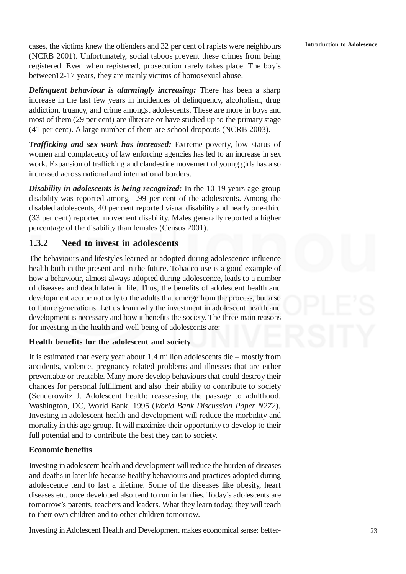**Introduction to Adolesence**

cases, the victims knew the offenders and 32 per cent of rapists were neighbours (NCRB 2001). Unfortunately, social taboos prevent these crimes from being registered. Even when registered, prosecution rarely takes place. The boy's between12-17 years, they are mainly victims of homosexual abuse.

*Delinquent behaviour is alarmingly increasing:* There has been a sharp increase in the last few years in incidences of delinquency, alcoholism, drug addiction, truancy, and crime amongst adolescents. These are more in boys and most of them (29 per cent) are illiterate or have studied up to the primary stage (41 per cent). A large number of them are school dropouts (NCRB 2003).

*Trafficking and sex work has increased:* Extreme poverty, low status of women and complacency of law enforcing agencies has led to an increase in sex work. Expansion of trafficking and clandestine movement of young girls has also increased across national and international borders.

*Disability in adolescents is being recognized:* In the 10-19 years age group disability was reported among 1.99 per cent of the adolescents. Among the disabled adolescents, 40 per cent reported visual disability and nearly one-third (33 per cent) reported movement disability. Males generally reported a higher percentage of the disability than females (Census 2001).

### **1.3.2 Need to invest in adolescents**

The behaviours and lifestyles learned or adopted during adolescence influence health both in the present and in the future. Tobacco use is a good example of how a behaviour, almost always adopted during adolescence, leads to a number of diseases and death later in life. Thus, the benefits of adolescent health and development accrue not only to the adults that emerge from the process, but also to future generations. Let us learn why the investment in adolescent health and development is necessary and how it benefits the society. The three main reasons for investing in the health and well-being of adolescents are:

### **Health benefits for the adolescent and society**

It is estimated that every year about 1.4 million adolescents die – mostly from accidents, violence, pregnancy-related problems and illnesses that are either preventable or treatable. Many more develop behaviours that could destroy their chances for personal fulfillment and also their ability to contribute to society (Senderowitz J. Adolescent health: reassessing the passage to adulthood. Washington, DC, World Bank, 1995 (*World Bank Discussion Paper N272*). Investing in adolescent health and development will reduce the morbidity and mortality in this age group. It will maximize their opportunity to develop to their full potential and to contribute the best they can to society.

### **Economic benefits**

Investing in adolescent health and development will reduce the burden of diseases and deaths in later life because healthy behaviours and practices adopted during adolescence tend to last a lifetime. Some of the diseases like obesity, heart diseases etc. once developed also tend to run in families. Today's adolescents are tomorrow's parents, teachers and leaders. What they learn today, they will teach to their own children and to other children tomorrow.

Investing in Adolescent Health and Development makes economical sense: better-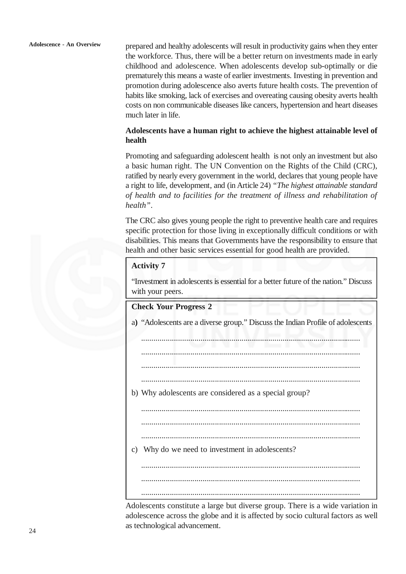prepared and healthy adolescents will result in productivity gains when they enter the workforce. Thus, there will be a better return on investments made in early childhood and adolescence. When adolescents develop sub-optimally or die prematurely this means a waste of earlier investments. Investing in prevention and promotion during adolescence also averts future health costs. The prevention of habits like smoking, lack of exercises and overeating causing obesity averts health costs on non communicable diseases like cancers, hypertension and heart diseases much later in life.

### **Adolescents have a human right to achieve the highest attainable level of health**

Promoting and safeguarding adolescent health is not only an investment but also a basic human right. The UN Convention on the Rights of the Child (CRC), ratified by nearly every government in the world, declares that young people have a right to life, development, and (in Article 24) *"The highest attainable standard of health and to facilities for the treatment of illness and rehabilitation of health"*.

The CRC also gives young people the right to preventive health care and requires specific protection for those living in exceptionally difficult conditions or with disabilities. This means that Governments have the responsibility to ensure that health and other basic services essential for good health are provided.

### **Activity 7**

"Investment in adolescents is essential for a better future of the nation." Discuss with your peers.

**Check Your Progress 2** a**)** "Adolescents are a diverse group." Discuss the Indian Profile of adolescents ........................................................................................................... ........................................................................................................... ........................................................................................................... ........................................................................................................... b) Why adolescents are considered as a special group? ........................................................................................................... ........................................................................................................... ........................................................................................................... c) Why do we need to investment in adolescents? ........................................................................................................... ........................................................................................................... ........................................................................................................... Adolescents constitute a large but diverse group. There is a wide variation in adolescence across the globe and it is affected by socio cultural factors as well as technological advancement.

 $24$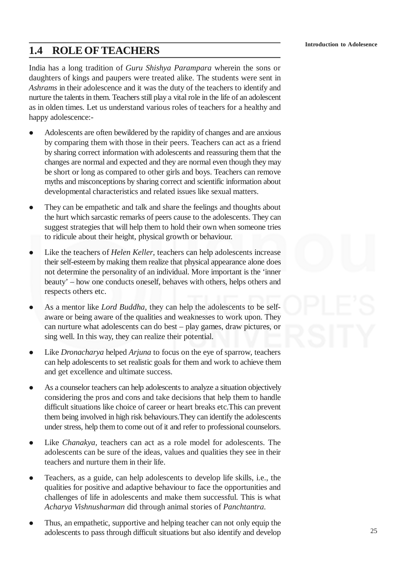# **1.4 ROLE OF TEACHERS**

India has a long tradition of *Guru Shishya Parampara* wherein the sons or daughters of kings and paupers were treated alike. The students were sent in *Ashrams* in their adolescence and it was the duty of the teachers to identify and nurture the talents in them. Teachers still play a vital role in the life of an adolescent as in olden times. Let us understand various roles of teachers for a healthy and happy adolescence:-

- Adolescents are often bewildered by the rapidity of changes and are anxious by comparing them with those in their peers. Teachers can act as a friend by sharing correct information with adolescents and reassuring them that the changes are normal and expected and they are normal even though they may be short or long as compared to other girls and boys. Teachers can remove myths and misconceptions by sharing correct and scientific information about developmental characteristics and related issues like sexual matters.
- They can be empathetic and talk and share the feelings and thoughts about the hurt which sarcastic remarks of peers cause to the adolescents. They can suggest strategies that will help them to hold their own when someone tries to ridicule about their height, physical growth or behaviour.
- Like the teachers of *Helen Keller*, teachers can help adolescents increase their self-esteem by making them realize that physical appearance alone does not determine the personality of an individual. More important is the 'inner beauty' – how one conducts oneself, behaves with others, helps others and respects others etc.
- As a mentor like *Lord Buddha*, they can help the adolescents to be selfaware or being aware of the qualities and weaknesses to work upon. They can nurture what adolescents can do best – play games, draw pictures, or sing well. In this way, they can realize their potential.
- Like *Dronacharya* helped *Arjuna* to focus on the eye of sparrow, teachers can help adolescents to set realistic goals for them and work to achieve them and get excellence and ultimate success.
- As a counselor teachers can help adolescents to analyze a situation objectively considering the pros and cons and take decisions that help them to handle difficult situations like choice of career or heart breaks etc.This can prevent them being involved in high risk behaviours.They can identify the adolescents under stress, help them to come out of it and refer to professional counselors.
- Like *Chanakya,* teachers can act as a role model for adolescents. The adolescents can be sure of the ideas, values and qualities they see in their teachers and nurture them in their life.
- Teachers, as a guide, can help adolescents to develop life skills, i.e., the qualities for positive and adaptive behaviour to face the opportunities and challenges of life in adolescents and make them successful. This is what *Acharya Vishnusharman* did through animal stories of *Panchtantra.*
- Thus, an empathetic, supportive and helping teacher can not only equip the adolescents to pass through difficult situations but also identify and develop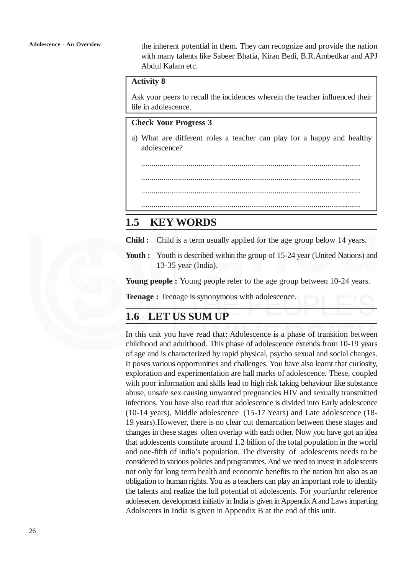the inherent potential in them. They can recognize and provide the nation with many talents like Sabeer Bhatia, Kiran Bedi, B.R.Ambedkar and APJ Abdul Kalam etc.

### **Activity 8**

Ask your peers to recall the incidences wherein the teacher influenced their life in adolescence.

### **Check Your Progress 3**

a) What are different roles a teacher can play for a happy and healthy adolescence?

...........................................................................................................

...........................................................................................................

...........................................................................................................

...........................................................................................................

# **1.5 KEY WORDS**

**Child :** Child is a term usually applied for the age group below 14 years.

**Youth :** Youth is described within the group of 15-24 year (United Nations) and 13-35 year (India).

**Young people :** Young people refer to the age group between 10-24 years.

**Teenage :** Teenage is synonymous with adolescence.

# **1.6 LET US SUM UP**

In this unit you have read that: Adolescence is a phase of transition between childhood and adulthood. This phase of adolescence extends from 10-19 years of age and is characterized by rapid physical, psycho sexual and social changes. It poses various opportunities and challenges. You have also learnt that curiosity, exploration and experimentation are hall marks of adolescence. These, coupled with poor information and skills lead to high risk taking behaviour like substance abuse, unsafe sex causing unwanted pregnancies HIV and sexually transmitted infections. You have also read that adolescence is divided into Early adolescence (10-14 years), Middle adolescence (15-17 Years) and Late adolescence (18- 19 years).However, there is no clear cut demarcation between these stages and changes in these stages often overlap with each other. Now you have got an idea that adolescents constitute around 1.2 billion of the total population in the world and one-fifth of India's population. The diversity of adolescents needs to be considered in various policies and programmes. And we need to invest in adolescents not only for long term health and economic benefits to the nation but also as an obligation to human rights. You as a teachers can play an important role to identify the talents and realize the full potential of adolescents. For yourfurthr reference adolesecent development initiativ in India is given in Appendix A and Laws imparting Adolscents in India is given in Appendix B at the end of this unit.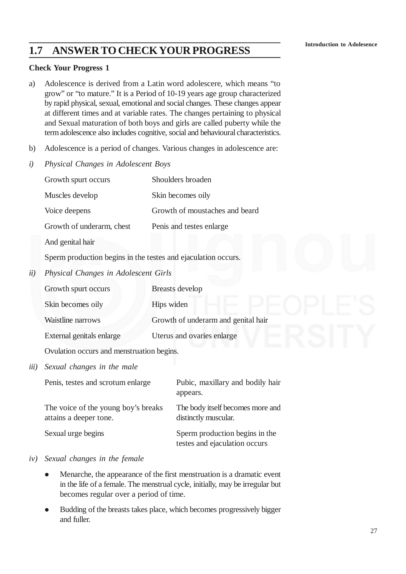# **1.7 ANSWER TO CHECK YOUR PROGRESS**

### **Check Your Progress 1**

- a) Adolescence is derived from a Latin word adolescere*,* which means "to grow" or "to mature." It is a Period of 10-19 years age group characterized by rapid physical, sexual, emotional and social changes. These changes appear at different times and at variable rates. The changes pertaining to physical and Sexual maturation of both boys and girls are called puberty while the term adolescence also includes cognitive, social and behavioural characteristics.
- b) Adolescence is a period of changes. Various changes in adolescence are:
- *i) Physical Changes in Adolescent Boys*

|                                           | Growth spurt occurs                                                                                   | Shoulders broaden                   |
|-------------------------------------------|-------------------------------------------------------------------------------------------------------|-------------------------------------|
|                                           | Muscles develop                                                                                       | Skin becomes oily                   |
|                                           | Voice deepens                                                                                         | Growth of moustaches and beard      |
|                                           | Growth of underarm, chest                                                                             | Penis and testes enlarge            |
|                                           | And genital hair                                                                                      |                                     |
|                                           | Sperm production begins in the testes and ejaculation occurs.<br>Physical Changes in Adolescent Girls |                                     |
| ii)                                       |                                                                                                       |                                     |
|                                           | Growth spurt occurs                                                                                   | Breasts develop                     |
|                                           | Skin becomes oily                                                                                     | Hips widen                          |
|                                           | Waistline narrows                                                                                     | Growth of underarm and genital hair |
|                                           | External genitals enlarge                                                                             | Uterus and ovaries enlarge          |
| Ovulation occurs and menstruation begins. |                                                                                                       |                                     |
| iii)                                      | Sexual changes in the male                                                                            |                                     |

| Penis, testes and scrotum enlarge                             | Pubic, maxillary and bodily hair<br>appears.                    |
|---------------------------------------------------------------|-----------------------------------------------------------------|
| The voice of the young boy's breaks<br>attains a deeper tone. | The body itself becomes more and<br>distinctly muscular.        |
| Sexual urge begins                                            | Sperm production begins in the<br>testes and ejaculation occurs |

### *iv) Sexual changes in the female*

- Menarche, the appearance of the first menstruation is a dramatic event in the life of a female. The menstrual cycle, initially, may be irregular but becomes regular over a period of time.
- Budding of the breasts takes place, which becomes progressively bigger and fuller.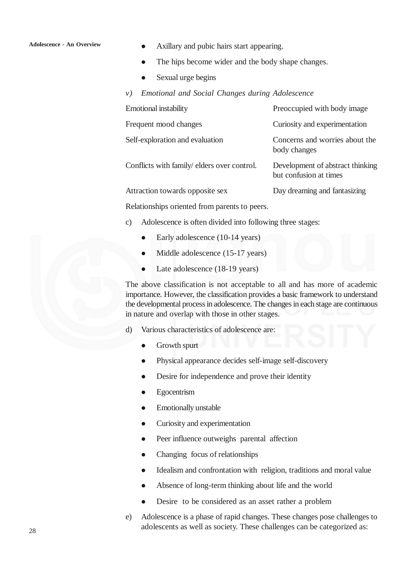- Axillary and pubic hairs start appearing.
- The hips become wider and the body shape changes.
- Sexual urge begins
- *v) Emotional and Social Changes during Adolescence*

| <b>Emotional instability</b>                                                                                                                                                                                                                                                                                                       | Preoccupied with body image                                |
|------------------------------------------------------------------------------------------------------------------------------------------------------------------------------------------------------------------------------------------------------------------------------------------------------------------------------------|------------------------------------------------------------|
| Frequent mood changes                                                                                                                                                                                                                                                                                                              | Curiosity and experimentation                              |
| Self-exploration and evaluation                                                                                                                                                                                                                                                                                                    | Concerns and worries about the<br>body changes             |
| Conflicts with family/elders over control.                                                                                                                                                                                                                                                                                         | Development of abstract thinking<br>but confusion at times |
| Attraction towards opposite sex                                                                                                                                                                                                                                                                                                    | Day dreaming and fantasizing                               |
| $\mathbf{D}$ $\mathbf{1}$ $\mathbf{1}$ $\mathbf{1}$ $\mathbf{1}$ $\mathbf{1}$ $\mathbf{1}$ $\mathbf{1}$ $\mathbf{1}$ $\mathbf{1}$ $\mathbf{1}$ $\mathbf{1}$ $\mathbf{1}$ $\mathbf{1}$ $\mathbf{1}$ $\mathbf{1}$ $\mathbf{1}$ $\mathbf{1}$ $\mathbf{1}$ $\mathbf{1}$ $\mathbf{1}$ $\mathbf{1}$ $\mathbf{1}$ $\mathbf{1}$ $\mathbf{$ |                                                            |

Relationships oriented from parents to peers.

- c) Adolescence is often divided into following three stages:
	- Early adolescence (10-14 years)
	- Middle adolescence (15-17 years)
	- Late adolescence (18-19 years)

The above classification is not acceptable to all and has more of academic importance. However, the classification provides a basic framework to understand the developmental process in adolescence. The changes in each stage are continuous in nature and overlap with those in other stages.

- d) Various characteristics of adolescence are:
	- Growth spurt
	- Physical appearance decides self-image self-discovery
	- Desire for independence and prove their identity
	- Egocentrism
	- Emotionally unstable
	- Curiosity and experimentation
	- Peer influence outweighs parental affection
	- Changing focus of relationships
	- Idealism and confrontation with religion, traditions and moral value
	- Absence of long-term thinking about life and the world
	- Desire to be considered as an asset rather a problem
- e) Adolescence is a phase of rapid changes. These changes pose challenges to adolescents as well as society. These challenges can be categorized as: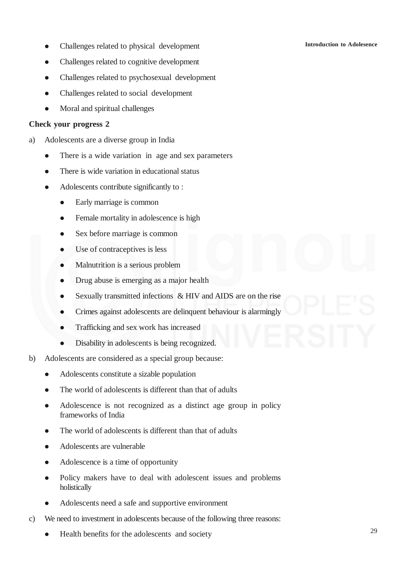- Challenges related to physical development
- Challenges related to cognitive development
- Challenges related to psychosexual development
- Challenges related to social development
- Moral and spiritual challenges

### **Check your progress 2**

- a) Adolescents are a diverse group in India
	- There is a wide variation in age and sex parameters
	- There is wide variation in educational status
	- Adolescents contribute significantly to :
		- Early marriage is common
		- Female mortality in adolescence is high
		- Sex before marriage is common
		- Use of contraceptives is less
		- Malnutrition is a serious problem
		- Drug abuse is emerging as a major health
		- Sexually transmitted infections & HIV and AIDS are on the rise
		- Crimes against adolescents are delinquent behaviour is alarmingly
		- Trafficking and sex work has increased
		- Disability in adolescents is being recognized.
- b) Adolescents are considered as a special group because:
	- Adolescents constitute a sizable population
	- The world of adolescents is different than that of adults
	- Adolescence is not recognized as a distinct age group in policy frameworks of India
	- The world of adolescents is different than that of adults
	- Adolescents are vulnerable
	- Adolescence is a time of opportunity
	- Policy makers have to deal with adolescent issues and problems holistically
	- Adolescents need a safe and supportive environment
- c) We need to investment in adolescents because of the following three reasons:
	- Health benefits for the adolescents and society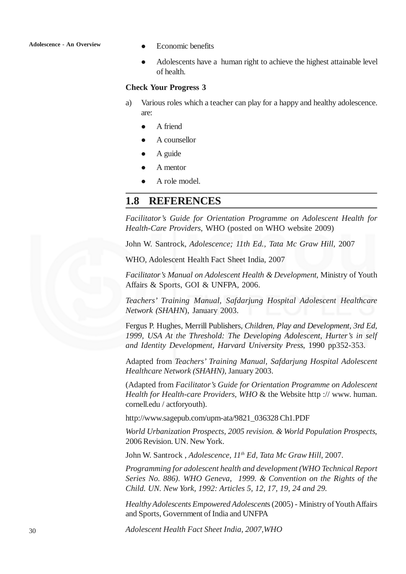- Economic benefits
- Adolescents have a human right to achieve the highest attainable level of health.

### **Check Your Progress 3**

- a) Various roles which a teacher can play for a happy and healthy adolescence. are:
	- A friend
	- A counsellor
	- A guide
	- A mentor
	- A role model.

### **1.8 REFERENCES**

*Facilitator's Guide for Orientation Programme on Adolescent Health for Health-Care Providers*, WHO (posted on WHO website 2009)

John W. Santrock, *Adolescence; 11th Ed., Tata Mc Graw Hill*, 2007

WHO, Adolescent Health Fact Sheet India, 2007

*Facilitator's Manual on Adolescent Health & Development*, Ministry of Youth Affairs & Sports, GOI & UNFPA, 2006.

*Teachers' Training Manual, Safdarjung Hospital Adolescent Healthcare Network (SHAHN*), January 2003.

Fergus P. Hughes, Merrill Publishers, *Children, Play and Development, 3rd Ed, 1999, USA At the Threshold: The Developing Adolescent, Hurter's in self and Identity Development, Harvard University Press*, 1990 pp352-353.

Adapted from *Teachers' Training Manual, Safdarjung Hospital Adolescent Healthcare Network (SHAHN)*, January 2003.

(Adapted from *Facilitator's Guide for Orientation Programme on Adolescent Health for Health-care Providers, WHO* & the Website http :// www. human. cornell.edu / actforyouth).

http://www.sagepub.com/upm-ata/9821\_036328 Ch1.PDF

*World Urbanization Prospects, 2005 revision. & World Population Prospects*, 2006 Revision. UN. New York.

John W. Santrock , *Adolescence, 11th Ed, Tata Mc Graw Hill*, 2007.

*Programming for adolescent health and development (WHO Technical Report Series No. 886). WHO Geneva, 1999. & Convention on the Rights of the Child. UN. New York, 1992: Articles 5, 12, 17, 19, 24 and 29.*

*Healthy Adolescents Empowered Adolescent*s (2005) - Ministry of Youth Affairs and Sports, Government of India and UNFPA

*Adolescent Health Fact Sheet India, 2007,WHO*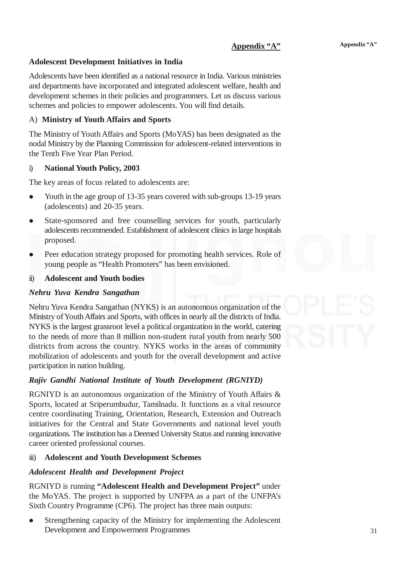### **Adolescent Development Initiatives in India**

Adolescents have been identified as a national resource in India. Various ministries and departments have incorporated and integrated adolescent welfare, health and development schemes in their policies and programmers. Let us discuss various schemes and policies to empower adolescents. You will find details.

### A) **Ministry of Youth Affairs and Sports**

The Ministry of Youth Affairs and Sports (MoYAS) has been designated as the nodal Ministry by the Planning Commission for adolescent-related interventions in the Tenth Five Year Plan Period.

### i) **National Youth Policy, 2003**

The key areas of focus related to adolescents are:

- Youth in the age group of 13-35 years covered with sub-groups 13-19 years (adolescents) and 20-35 years.
- State-sponsored and free counselling services for youth, particularly adolescents recommended. Establishment of adolescent clinics in large hospitals proposed.
- Peer education strategy proposed for promoting health services. Role of young people as "Health Promoters" has been envisioned.

### ii) **Adolescent and Youth bodies**

### *Nehru Yuva Kendra Sangathan*

Nehru Yuva Kendra Sangathan (NYKS) is an autonomous organization of the Ministry of Youth Affairs and Sports, with offices in nearly all the districts of India. NYKS is the largest grassroot level a political organization in the world, catering to the needs of more than 8 million non-student rural youth from nearly 500 districts from across the country. NYKS works in the areas of community mobilization of adolescents and youth for the overall development and active participation in nation building.

### *Rajiv Gandhi National Institute of Youth Development (RGNIYD)*

RGNIYD is an autonomous organization of the Ministry of Youth Affairs & Sports, located at Sriperumbudur, Tamilnadu. It functions as a vital resource centre coordinating Training, Orientation, Research, Extension and Outreach initiatives for the Central and State Governments and national level youth organizations. The institution has a Deemed University Status and running innovative career oriented professional courses.

### iii) **Adolescent and Youth Development Schemes**

### *Adolescent Health and Development Project*

RGNIYD is running **"Adolescent Health and Development Project"** under the MoYAS. The project is supported by UNFPA as a part of the UNFPA's Sixth Country Programme (CP6). The project has three main outputs:

 Strengthening capacity of the Ministry for implementing the Adolescent Development and Empowerment Programmes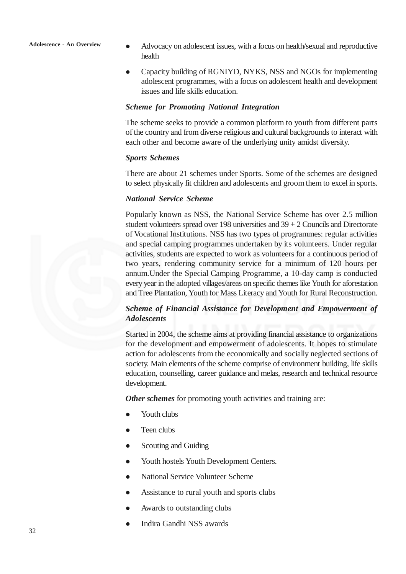- Advocacy on adolescent issues, with a focus on health/sexual and reproductive health
- Capacity building of RGNIYD, NYKS, NSS and NGOs for implementing adolescent programmes, with a focus on adolescent health and development issues and life skills education.

### *Scheme for Promoting National Integration*

The scheme seeks to provide a common platform to youth from different parts of the country and from diverse religious and cultural backgrounds to interact with each other and become aware of the underlying unity amidst diversity.

### *Sports Schemes*

There are about 21 schemes under Sports. Some of the schemes are designed to select physically fit children and adolescents and groom them to excel in sports.

### *National Service Scheme*

Popularly known as NSS, the National Service Scheme has over 2.5 million student volunteers spread over 198 universities and 39 + 2 Councils and Directorate of Vocational Institutions. NSS has two types of programmes: regular activities and special camping programmes undertaken by its volunteers. Under regular activities, students are expected to work as volunteers for a continuous period of two years, rendering community service for a minimum of 120 hours per annum.Under the Special Camping Programme, a 10-day camp is conducted every year in the adopted villages/areas on specific themes like Youth for aforestation and Tree Plantation, Youth for Mass Literacy and Youth for Rural Reconstruction.

### *Scheme of Financial Assistance for Development and Empowerment of Adolescents*

Started in 2004, the scheme aims at providing financial assistance to organizations for the development and empowerment of adolescents. It hopes to stimulate action for adolescents from the economically and socially neglected sections of society. Main elements of the scheme comprise of environment building, life skills education, counselling, career guidance and melas, research and technical resource development.

*Other schemes* for promoting youth activities and training are:

- Youth clubs
- $\bullet$  Teen clubs
- Scouting and Guiding
- Youth hostels Youth Development Centers.
- National Service Volunteer Scheme
- Assistance to rural youth and sports clubs
- Awards to outstanding clubs
- Indira Gandhi NSS awards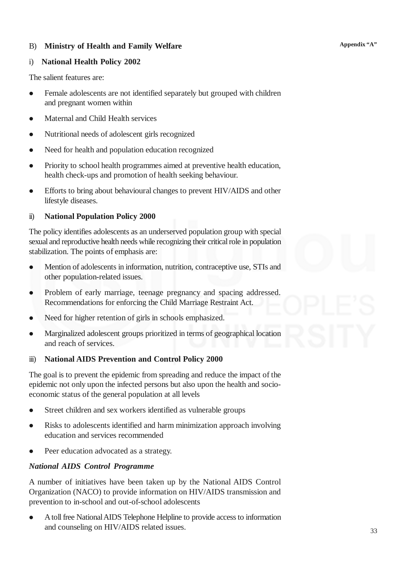### B) **Ministry of Health and Family Welfare**

### i) **National Health Policy 2002**

The salient features are:

- Female adolescents are not identified separately but grouped with children and pregnant women within
- Maternal and Child Health services
- Nutritional needs of adolescent girls recognized
- Need for health and population education recognized
- Priority to school health programmes aimed at preventive health education, health check-ups and promotion of health seeking behaviour.
- Efforts to bring about behavioural changes to prevent HIV/AIDS and other lifestyle diseases.

### ii) **National Population Policy 2000**

The policy identifies adolescents as an underserved population group with special sexual and reproductive health needs while recognizing their critical role in population stabilization. The points of emphasis are:

- Mention of adolescents in information, nutrition, contraceptive use, STIs and other population-related issues.
- Problem of early marriage, teenage pregnancy and spacing addressed. Recommendations for enforcing the Child Marriage Restraint Act.
- Need for higher retention of girls in schools emphasized.
- Marginalized adolescent groups prioritized in terms of geographical location and reach of services.

### iii) **National AIDS Prevention and Control Policy 2000**

The goal is to prevent the epidemic from spreading and reduce the impact of the epidemic not only upon the infected persons but also upon the health and socioeconomic status of the general population at all levels

- Street children and sex workers identified as vulnerable groups
- Risks to adolescents identified and harm minimization approach involving education and services recommended
- Peer education advocated as a strategy.

### *National AIDS Control Programme*

A number of initiatives have been taken up by the National AIDS Control Organization (NACO) to provide information on HIV/AIDS transmission and prevention to in-school and out-of-school adolescents

 A toll free National AIDS Telephone Helpline to provide access to information and counseling on HIV/AIDS related issues.

**Appendix "A"**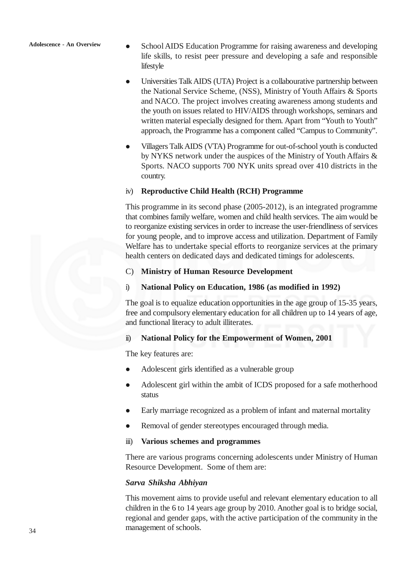- School AIDS Education Programme for raising awareness and developing life skills, to resist peer pressure and developing a safe and responsible lifestyle
- Universities Talk AIDS (UTA) Project is a collabourative partnership between the National Service Scheme, (NSS), Ministry of Youth Affairs & Sports and NACO. The project involves creating awareness among students and the youth on issues related to HIV/AIDS through workshops, seminars and written material especially designed for them. Apart from "Youth to Youth" approach, the Programme has a component called "Campus to Community".
- Villagers Talk AIDS (VTA) Programme for out-of-school youth is conducted by NYKS network under the auspices of the Ministry of Youth Affairs & Sports. NACO supports 700 NYK units spread over 410 districts in the country.

### iv) **Reproductive Child Health (RCH) Programme**

This programme in its second phase (2005-2012), is an integrated programme that combines family welfare, women and child health services. The aim would be to reorganize existing services in order to increase the user-friendliness of services for young people, and to improve access and utilization. Department of Family Welfare has to undertake special efforts to reorganize services at the primary health centers on dedicated days and dedicated timings for adolescents.

### C) **Ministry of Human Resource Development**

### i) **National Policy on Education, 1986 (as modified in 1992)**

The goal is to equalize education opportunities in the age group of 15-35 years, free and compulsory elementary education for all children up to 14 years of age, and functional literacy to adult illiterates.

### ii) **National Policy for the Empowerment of Women, 2001**

The key features are:

- Adolescent girls identified as a vulnerable group
- Adolescent girl within the ambit of ICDS proposed for a safe motherhood status
- Early marriage recognized as a problem of infant and maternal mortality
- Removal of gender stereotypes encouraged through media.

### iii) **Various schemes and programmes**

There are various programs concerning adolescents under Ministry of Human Resource Development. Some of them are:

### *Sarva Shiksha Abhiyan*

This movement aims to provide useful and relevant elementary education to all children in the 6 to 14 years age group by 2010. Another goal is to bridge social, regional and gender gaps, with the active participation of the community in the management of schools.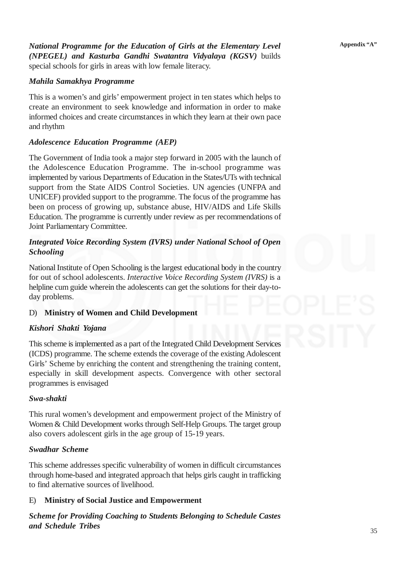*National Programme for the Education of Girls at the Elementary Level (NPEGEL) and Kasturba Gandhi Swatantra Vidyalaya (KGSV)* builds special schools for girls in areas with low female literacy.

### *Mahila Samakhya Programme*

This is a women's and girls' empowerment project in ten states which helps to create an environment to seek knowledge and information in order to make informed choices and create circumstances in which they learn at their own pace and rhythm

### *Adolescence Education Programme (AEP)*

The Government of India took a major step forward in 2005 with the launch of the Adolescence Education Programme. The in-school programme was implemented by various Departments of Education in the States/UTs with technical support from the State AIDS Control Societies. UN agencies (UNFPA and UNICEF) provided support to the programme. The focus of the programme has been on process of growing up, substance abuse, HIV/AIDS and Life Skills Education. The programme is currently under review as per recommendations of Joint Parliamentary Committee.

### *Integrated Voice Recording System (IVRS) under National School of Open Schooling*

National Institute of Open Schooling is the largest educational body in the country for out of school adolescents. *Interactive Voice Recording System (IVRS)* is a helpline cum guide wherein the adolescents can get the solutions for their day-today problems.

### D) **Ministry of Women and Child Development**

### *Kishori Shakti Yojana*

This scheme is implemented as a part of the Integrated Child Development Services (ICDS) programme. The scheme extends the coverage of the existing Adolescent Girls' Scheme by enriching the content and strengthening the training content, especially in skill development aspects. Convergence with other sectoral programmes is envisaged

### *Swa-shakti*

This rural women's development and empowerment project of the Ministry of Women & Child Development works through Self-Help Groups. The target group also covers adolescent girls in the age group of 15-19 years.

### *Swadhar Scheme*

This scheme addresses specific vulnerability of women in difficult circumstances through home-based and integrated approach that helps girls caught in trafficking to find alternative sources of livelihood.

### E) **Ministry of Social Justice and Empowerment**

*Scheme for Providing Coaching to Students Belonging to Schedule Castes and Schedule Tribes*

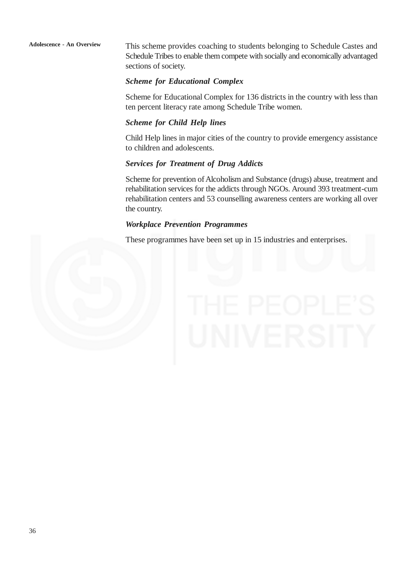This scheme provides coaching to students belonging to Schedule Castes and Schedule Tribes to enable them compete with socially and economically advantaged sections of society.

### *Scheme for Educational Complex*

Scheme for Educational Complex for 136 districts in the country with less than ten percent literacy rate among Schedule Tribe women.

### *Scheme for Child Help lines*

Child Help lines in major cities of the country to provide emergency assistance to children and adolescents.

### *Services for Treatment of Drug Addicts*

Scheme for prevention of Alcoholism and Substance (drugs) abuse, treatment and rehabilitation services for the addicts through NGOs. Around 393 treatment-cum rehabilitation centers and 53 counselling awareness centers are working all over the country.

### *Workplace Prevention Programmes*

These programmes have been set up in 15 industries and enterprises.